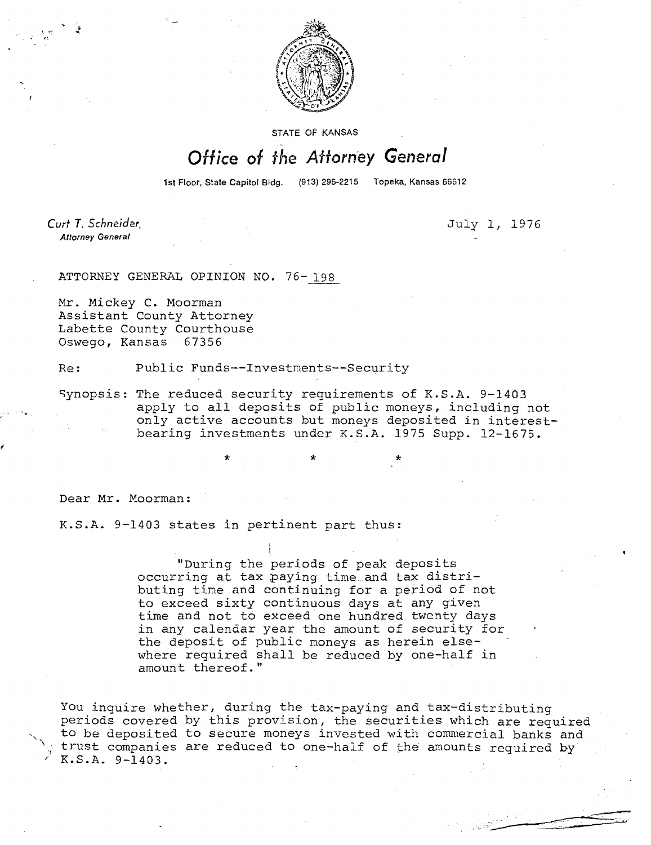

STATE OF KANSAS

## Office of the Attorney General

1st Floor, State Capitol Bldg. (913) 296-2215 Topeka, Kansas 66612

Curt T. Schneider **Attorney General** 

July 1, 1976

ATTORNEY GENERAL OPINION NO. 76- 198

Mr. Mickey C. Moorman Assistant County Attorney Labette County Courthouse Oswego, Kansas 67356

Re: Public Funds--Investments--Security

Synopsis: The reduced security requirements of K.S.A. 9-1403 apply to all deposits of public moneys, including not only active accounts but moneys deposited in interestbearing investments under K.S.A. 1975 Supp. 12-1675.

\* \*

Dear Mr. Moorman:

K.S.A. 9-1403 states in pertinent part thus:

"During the periods of peak deposits occurring at tax paying time and tax distributing time and continuing for a period of not to exceed sixty continuous days at any given time and not to exceed one hundred twenty days in any calendar year the amount of security for the deposit of public moneys as herein elsewhere required shall be reduced by one-half in amount thereof."

You inquire whether, during the tax-paying and tax-distributing periods covered by this provision, the securities which are required to be deposited to secure moneys invested with commercial banks and trust companies are reduced to one-half of the amounts required by K.S.A. 9-1403.